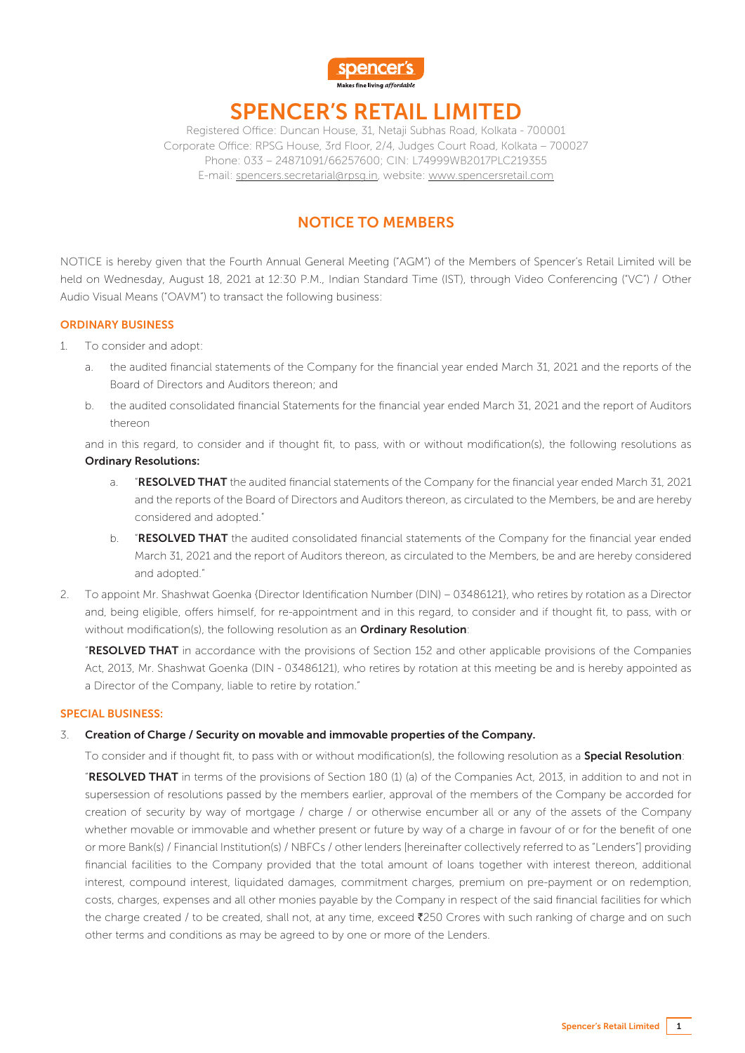

# SPENCER'S RETAIL LIMITED

Registered Office: Duncan House, 31, Netaji Subhas Road, Kolkata - 700001 Corporate Office: RPSG House, 3rd Floor, 2/4, Judges Court Road, Kolkata – 700027 Phone: 033 – 24871091/66257600; CIN: L74999WB2017PLC219355 E-mail: spencers.secretarial@rpsg.in, website: www.spencersretail.com

## NOTICE TO MEMBERS

NOTICE is hereby given that the Fourth Annual General Meeting ("AGM") of the Members of Spencer's Retail Limited will be held on Wednesday, August 18, 2021 at 12:30 P.M., Indian Standard Time (IST), through Video Conferencing ("VC") / Other Audio Visual Means ("OAVM") to transact the following business:

#### ORDINARY BUSINESS

- 1. To consider and adopt:
	- a. the audited financial statements of the Company for the financial year ended March 31, 2021 and the reports of the Board of Directors and Auditors thereon; and
	- b. the audited consolidated financial Statements for the financial year ended March 31, 2021 and the report of Auditors thereon

and in this regard, to consider and if thought fit, to pass, with or without modification(s), the following resolutions as Ordinary Resolutions:

- a. **"RESOLVED THAT** the audited financial statements of the Company for the financial year ended March 31, 2021 and the reports of the Board of Directors and Auditors thereon, as circulated to the Members, be and are hereby considered and adopted."
- b. **"RESOLVED THAT** the audited consolidated financial statements of the Company for the financial year ended March 31, 2021 and the report of Auditors thereon, as circulated to the Members, be and are hereby considered and adopted."
- 2. To appoint Mr. Shashwat Goenka {Director Identification Number (DIN) 03486121}, who retires by rotation as a Director and, being eligible, offers himself, for re-appointment and in this regard, to consider and if thought fit, to pass, with or without modification(s), the following resolution as an Ordinary Resolution:

**"RESOLVED THAT** in accordance with the provisions of Section 152 and other applicable provisions of the Companies Act, 2013, Mr. Shashwat Goenka (DIN - 03486121), who retires by rotation at this meeting be and is hereby appointed as a Director of the Company, liable to retire by rotation."

#### SPECIAL BUSINESS:

#### 3. Creation of Charge / Security on movable and immovable properties of the Company.

To consider and if thought fit, to pass with or without modification(s), the following resolution as a Special Resolution:

"RESOLVED THAT in terms of the provisions of Section 180 (1) (a) of the Companies Act, 2013, in addition to and not in supersession of resolutions passed by the members earlier, approval of the members of the Company be accorded for creation of security by way of mortgage / charge / or otherwise encumber all or any of the assets of the Company whether movable or immovable and whether present or future by way of a charge in favour of or for the benefit of one or more Bank(s) / Financial Institution(s) / NBFCs / other lenders [hereinafter collectively referred to as "Lenders"] providing financial facilities to the Company provided that the total amount of loans together with interest thereon, additional interest, compound interest, liquidated damages, commitment charges, premium on pre-payment or on redemption, costs, charges, expenses and all other monies payable by the Company in respect of the said financial facilities for which the charge created / to be created, shall not, at any time, exceed ₹250 Crores with such ranking of charge and on such other terms and conditions as may be agreed to by one or more of the Lenders.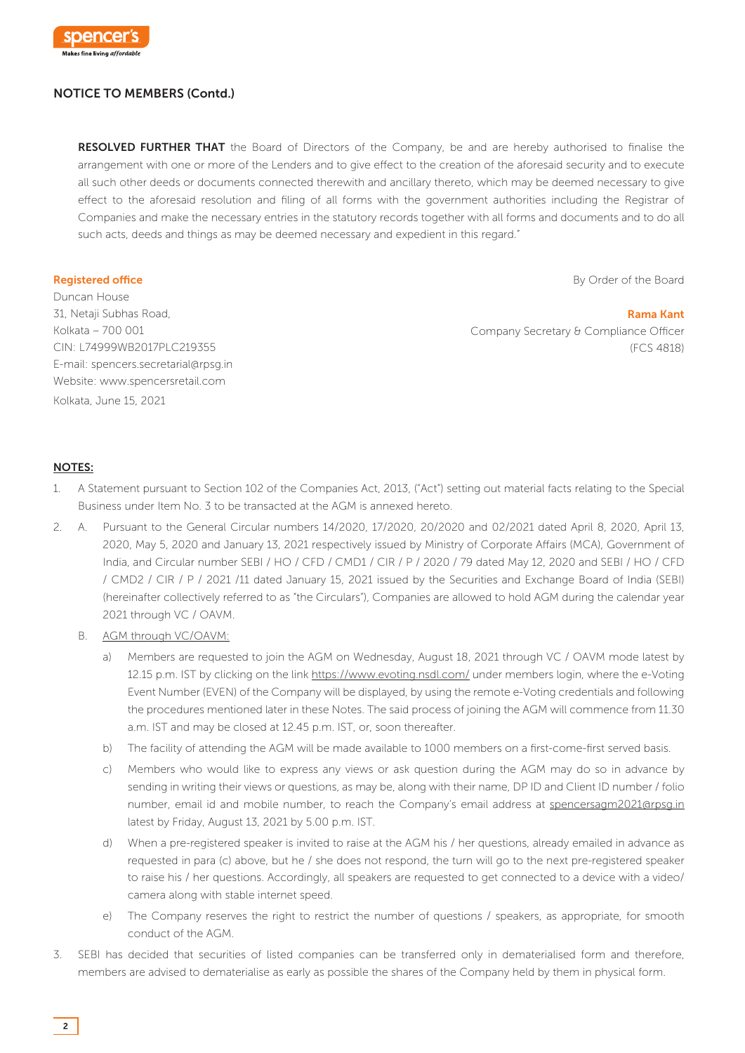

RESOLVED FURTHER THAT the Board of Directors of the Company, be and are hereby authorised to finalise the arrangement with one or more of the Lenders and to give effect to the creation of the aforesaid security and to execute all such other deeds or documents connected therewith and ancillary thereto, which may be deemed necessary to give effect to the aforesaid resolution and filing of all forms with the government authorities including the Registrar of Companies and make the necessary entries in the statutory records together with all forms and documents and to do all such acts, deeds and things as may be deemed necessary and expedient in this regard."

#### Registered office

By Order of the Board

Rama Kant

Duncan House 31, Netaji Subhas Road, Kolkata – 700 001 CIN: L74999WB2017PLC219355 E-mail: spencers.secretarial@rpsg.in Website: www.spencersretail.com Kolkata, June 15, 2021

 Company Secretary & Compliance Officer (FCS 4818)

#### NOTES:

- 1. A Statement pursuant to Section 102 of the Companies Act, 2013, ("Act") setting out material facts relating to the Special Business under Item No. 3 to be transacted at the AGM is annexed hereto.
- 2. A. Pursuant to the General Circular numbers 14/2020, 17/2020, 20/2020 and 02/2021 dated April 8, 2020, April 13, 2020, May 5, 2020 and January 13, 2021 respectively issued by Ministry of Corporate Affairs (MCA), Government of India, and Circular number SEBI / HO / CFD / CMD1 / CIR / P / 2020 / 79 dated May 12, 2020 and SEBI / HO / CFD / CMD2 / CIR / P / 2021 /11 dated January 15, 2021 issued by the Securities and Exchange Board of India (SEBI) (hereinafter collectively referred to as "the Circulars"), Companies are allowed to hold AGM during the calendar year 2021 through VC / OAVM.
	- B. AGM through VC/OAVM:
		- a) Members are requested to join the AGM on Wednesday, August 18, 2021 through VC / OAVM mode latest by 12.15 p.m. IST by clicking on the link https://www.evoting.nsdl.com/ under members login, where the e-Voting Event Number (EVEN) of the Company will be displayed, by using the remote e-Voting credentials and following the procedures mentioned later in these Notes. The said process of joining the AGM will commence from 11.30 a.m. IST and may be closed at 12.45 p.m. IST, or, soon thereafter.
		- b) The facility of attending the AGM will be made available to 1000 members on a first-come-first served basis.
		- c) Members who would like to express any views or ask question during the AGM may do so in advance by sending in writing their views or questions, as may be, along with their name, DP ID and Client ID number / folio number, email id and mobile number, to reach the Company's email address at spencersagm2021@rpsg.in latest by Friday, August 13, 2021 by 5.00 p.m. IST.
		- d) When a pre-registered speaker is invited to raise at the AGM his / her questions, already emailed in advance as requested in para (c) above, but he / she does not respond, the turn will go to the next pre-registered speaker to raise his / her questions. Accordingly, all speakers are requested to get connected to a device with a video/ camera along with stable internet speed.
		- e) The Company reserves the right to restrict the number of questions / speakers, as appropriate, for smooth conduct of the AGM.
- 3. SEBI has decided that securities of listed companies can be transferred only in dematerialised form and therefore, members are advised to dematerialise as early as possible the shares of the Company held by them in physical form.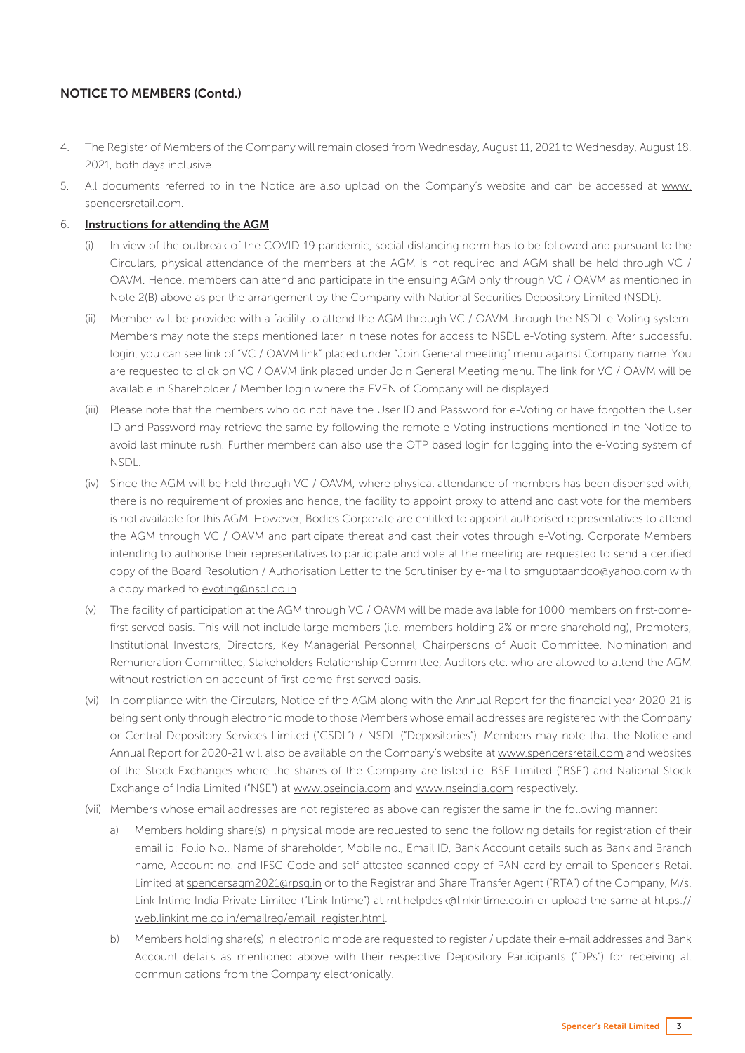- 4. The Register of Members of the Company will remain closed from Wednesday, August 11, 2021 to Wednesday, August 18, 2021, both days inclusive.
- 5. All documents referred to in the Notice are also upload on the Company's website and can be accessed at www. spencersretail.com.

#### 6. Instructions for attending the AGM

- In view of the outbreak of the COVID-19 pandemic, social distancing norm has to be followed and pursuant to the Circulars, physical attendance of the members at the AGM is not required and AGM shall be held through VC / OAVM. Hence, members can attend and participate in the ensuing AGM only through VC / OAVM as mentioned in Note 2(B) above as per the arrangement by the Company with National Securities Depository Limited (NSDL).
- (ii) Member will be provided with a facility to attend the AGM through VC / OAVM through the NSDL e-Voting system. Members may note the steps mentioned later in these notes for access to NSDL e-Voting system. After successful login, you can see link of "VC / OAVM link" placed under "Join General meeting" menu against Company name. You are requested to click on VC / OAVM link placed under Join General Meeting menu. The link for VC / OAVM will be available in Shareholder / Member login where the EVEN of Company will be displayed.
- (iii) Please note that the members who do not have the User ID and Password for e-Voting or have forgotten the User ID and Password may retrieve the same by following the remote e-Voting instructions mentioned in the Notice to avoid last minute rush. Further members can also use the OTP based login for logging into the e-Voting system of NSDL.
- (iv) Since the AGM will be held through VC / OAVM, where physical attendance of members has been dispensed with, there is no requirement of proxies and hence, the facility to appoint proxy to attend and cast vote for the members is not available for this AGM. However, Bodies Corporate are entitled to appoint authorised representatives to attend the AGM through VC / OAVM and participate thereat and cast their votes through e-Voting. Corporate Members intending to authorise their representatives to participate and vote at the meeting are requested to send a certified copy of the Board Resolution / Authorisation Letter to the Scrutiniser by e-mail to smguptaandco@yahoo.com with a copy marked to evoting@nsdl.co.in.
- (v) The facility of participation at the AGM through VC / OAVM will be made available for 1000 members on first-comefirst served basis. This will not include large members (i.e. members holding 2% or more shareholding), Promoters, Institutional Investors, Directors, Key Managerial Personnel, Chairpersons of Audit Committee, Nomination and Remuneration Committee, Stakeholders Relationship Committee, Auditors etc. who are allowed to attend the AGM without restriction on account of first-come-first served basis.
- (vi) In compliance with the Circulars, Notice of the AGM along with the Annual Report for the financial year 2020-21 is being sent only through electronic mode to those Members whose email addresses are registered with the Company or Central Depository Services Limited ("CSDL") / NSDL ("Depositories"). Members may note that the Notice and Annual Report for 2020-21 will also be available on the Company's website at www.spencersretail.com and websites of the Stock Exchanges where the shares of the Company are listed i.e. BSE Limited ("BSE") and National Stock Exchange of India Limited ("NSE") at www.bseindia.com and www.nseindia.com respectively.
- (vii) Members whose email addresses are not registered as above can register the same in the following manner:
	- a) Members holding share(s) in physical mode are requested to send the following details for registration of their email id: Folio No., Name of shareholder, Mobile no., Email ID, Bank Account details such as Bank and Branch name, Account no. and IFSC Code and self-attested scanned copy of PAN card by email to Spencer's Retail Limited at spencersagm2021@rpsg.in or to the Registrar and Share Transfer Agent ("RTA") of the Company, M/s. Link Intime India Private Limited ("Link Intime") at rnt.helpdesk@linkintime.co.in or upload the same at https:// web.linkintime.co.in/emailreg/email\_register.html.
	- b) Members holding share(s) in electronic mode are requested to register / update their e-mail addresses and Bank Account details as mentioned above with their respective Depository Participants ("DPs") for receiving all communications from the Company electronically.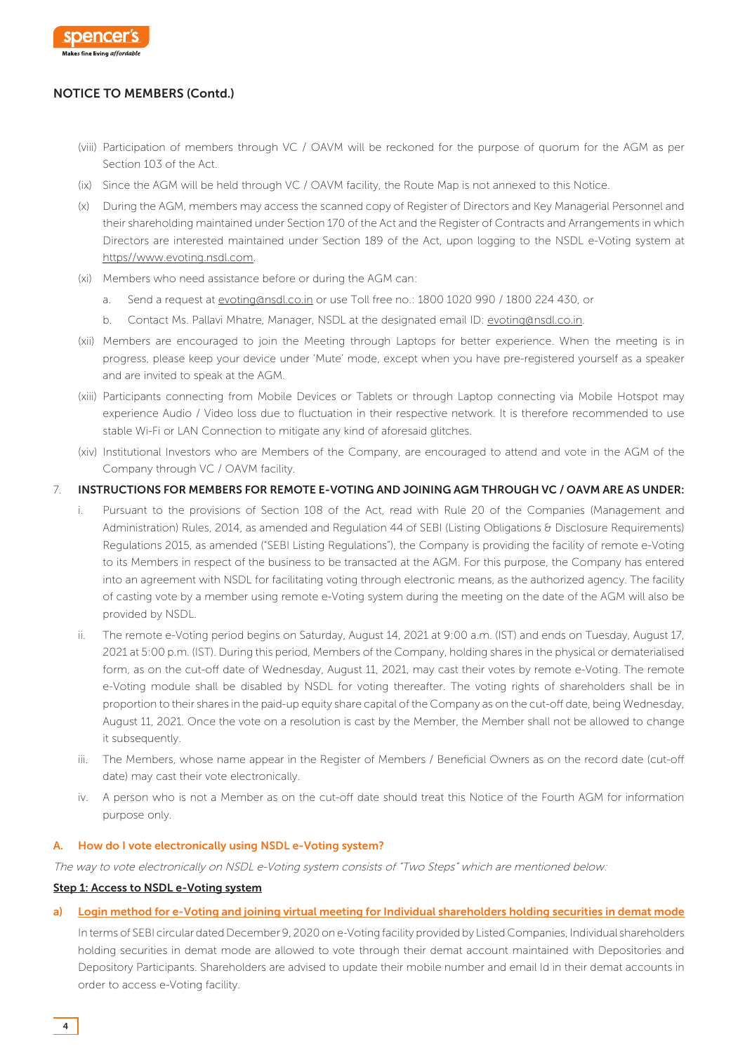

- (viii) Participation of members through VC / OAVM will be reckoned for the purpose of quorum for the AGM as per Section 103 of the Act.
- (ix) Since the AGM will be held through VC / OAVM facility, the Route Map is not annexed to this Notice.
- (x) During the AGM, members may access the scanned copy of Register of Directors and Key Managerial Personnel and their shareholding maintained under Section 170 of the Act and the Register of Contracts and Arrangements in which Directors are interested maintained under Section 189 of the Act, upon logging to the NSDL e-Voting system at https//www.evoting.nsdl.com.
- (xi) Members who need assistance before or during the AGM can:
	- a. Send a request at evoting@nsdl.co.in or use Toll free no.: 1800 1020 990 / 1800 224 430, or
	- b. Contact Ms. Pallavi Mhatre, Manager, NSDL at the designated email ID: evoting@nsdl.co.in.
- (xii) Members are encouraged to join the Meeting through Laptops for better experience. When the meeting is in progress, please keep your device under 'Mute' mode, except when you have pre-registered yourself as a speaker and are invited to speak at the AGM.
- (xiii) Participants connecting from Mobile Devices or Tablets or through Laptop connecting via Mobile Hotspot may experience Audio / Video loss due to fluctuation in their respective network. It is therefore recommended to use stable Wi-Fi or LAN Connection to mitigate any kind of aforesaid glitches.
- (xiv) Institutional Investors who are Members of the Company, are encouraged to attend and vote in the AGM of the Company through VC / OAVM facility.

#### 7. INSTRUCTIONS FOR MEMBERS FOR REMOTE E-VOTING AND JOINING AGM THROUGH VC / OAVM ARE AS UNDER:

- i. Pursuant to the provisions of Section 108 of the Act, read with Rule 20 of the Companies (Management and Administration) Rules, 2014, as amended and Regulation 44 of SEBI (Listing Obligations & Disclosure Requirements) Regulations 2015, as amended ("SEBI Listing Regulations"), the Company is providing the facility of remote e-Voting to its Members in respect of the business to be transacted at the AGM. For this purpose, the Company has entered into an agreement with NSDL for facilitating voting through electronic means, as the authorized agency. The facility of casting vote by a member using remote e-Voting system during the meeting on the date of the AGM will also be provided by NSDL.
- ii. The remote e-Voting period begins on Saturday, August 14, 2021 at 9:00 a.m. (IST) and ends on Tuesday, August 17, 2021 at 5:00 p.m. (IST). During this period, Members of the Company, holding shares in the physical or dematerialised form, as on the cut-off date of Wednesday, August 11, 2021, may cast their votes by remote e-Voting. The remote e-Voting module shall be disabled by NSDL for voting thereafter. The voting rights of shareholders shall be in proportion to their shares in the paid-up equity share capital of the Company as on the cut-off date, being Wednesday, August 11, 2021. Once the vote on a resolution is cast by the Member, the Member shall not be allowed to change it subsequently.
- iii. The Members, whose name appear in the Register of Members / Beneficial Owners as on the record date (cut-off date) may cast their vote electronically.
- iv. A person who is not a Member as on the cut-off date should treat this Notice of the Fourth AGM for information purpose only.

#### A. How do I vote electronically using NSDL e-Voting system?

The way to vote electronically on NSDL e-Voting system consists of "Two Steps" which are mentioned below:

#### Step 1: Access to NSDL e-Voting system

a) Login method for e-Voting and joining virtual meeting for Individual shareholders holding securities in demat mode

In terms of SEBI circular dated December 9, 2020 on e-Voting facility provided by Listed Companies, Individual shareholders holding securities in demat mode are allowed to vote through their demat account maintained with Depositories and Depository Participants. Shareholders are advised to update their mobile number and email Id in their demat accounts in order to access e-Voting facility.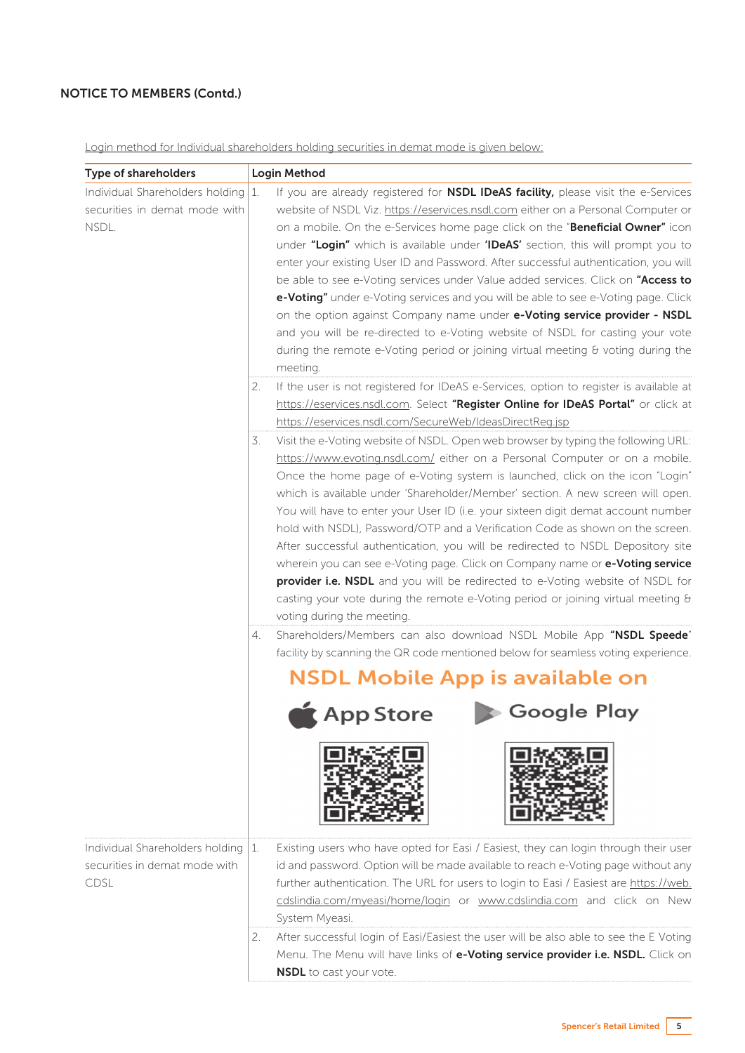Login method for Individual shareholders holding securities in demat mode is given below:

| Type of shareholders                                                         | Login Method                                                                                                                                                                                                                                                                                                                                                                                                                                                                                                                                                                                                                                                                                                                                                                                                                                                                                                                                                                             |
|------------------------------------------------------------------------------|------------------------------------------------------------------------------------------------------------------------------------------------------------------------------------------------------------------------------------------------------------------------------------------------------------------------------------------------------------------------------------------------------------------------------------------------------------------------------------------------------------------------------------------------------------------------------------------------------------------------------------------------------------------------------------------------------------------------------------------------------------------------------------------------------------------------------------------------------------------------------------------------------------------------------------------------------------------------------------------|
| Individual Shareholders holding 1.<br>securities in demat mode with<br>NSDL. | If you are already registered for <b>NSDL IDeAS facility</b> , please visit the e-Services<br>website of NSDL Viz. https://eservices.nsdl.com either on a Personal Computer or<br>on a mobile. On the e-Services home page click on the "Beneficial Owner" icon<br>under "Login" which is available under 'IDeAS' section, this will prompt you to<br>enter your existing User ID and Password. After successful authentication, you will<br>be able to see e-Voting services under Value added services. Click on "Access to<br>e-Voting" under e-Voting services and you will be able to see e-Voting page. Click<br>on the option against Company name under e-Voting service provider - NSDL<br>and you will be re-directed to e-Voting website of NSDL for casting your vote<br>during the remote e-Voting period or joining virtual meeting $\theta$ voting during the<br>meeting.<br>If the user is not registered for IDeAS e-Services, option to register is available at<br>2. |
|                                                                              | https://eservices.nsdl.com. Select "Register Online for IDeAS Portal" or click at                                                                                                                                                                                                                                                                                                                                                                                                                                                                                                                                                                                                                                                                                                                                                                                                                                                                                                        |
|                                                                              | https://eservices.nsdl.com/SecureWeb/IdeasDirectReg.jsp<br>Visit the e-Voting website of NSDL. Open web browser by typing the following URL:<br>3.<br>https://www.evoting.nsdl.com/ either on a Personal Computer or on a mobile.<br>Once the home page of e-Voting system is launched, click on the icon "Login"<br>which is available under 'Shareholder/Member' section. A new screen will open.<br>You will have to enter your User ID (i.e. your sixteen digit demat account number<br>hold with NSDL), Password/OTP and a Verification Code as shown on the screen.<br>After successful authentication, you will be redirected to NSDL Depository site<br>wherein you can see e-Voting page. Click on Company name or e-Voting service<br>provider i.e. NSDL and you will be redirected to e-Voting website of NSDL for<br>casting your vote during the remote e-Voting period or joining virtual meeting &<br>voting during the meeting.                                          |
|                                                                              | Shareholders/Members can also download NSDL Mobile App "NSDL Speede"<br>4.<br>facility by scanning the QR code mentioned below for seamless voting experience.<br><b>NSDL Mobile App is available on</b><br>App Store Coogle Play                                                                                                                                                                                                                                                                                                                                                                                                                                                                                                                                                                                                                                                                                                                                                        |
| Individual Shareholders holding<br>securities in demat mode with<br>CDSL     | Existing users who have opted for Easi / Easiest, they can login through their user<br>  1.<br>id and password. Option will be made available to reach e-Voting page without any<br>further authentication. The URL for users to login to Easi / Easiest are https://web.<br>cdslindia.com/myeasi/home/login or www.cdslindia.com and click on New<br>System Myeasi.                                                                                                                                                                                                                                                                                                                                                                                                                                                                                                                                                                                                                     |
|                                                                              | After successful login of Easi/Easiest the user will be also able to see the E Voting<br>2.<br>Menu. The Menu will have links of e-Voting service provider i.e. NSDL. Click on<br><b>NSDL</b> to cast your vote.                                                                                                                                                                                                                                                                                                                                                                                                                                                                                                                                                                                                                                                                                                                                                                         |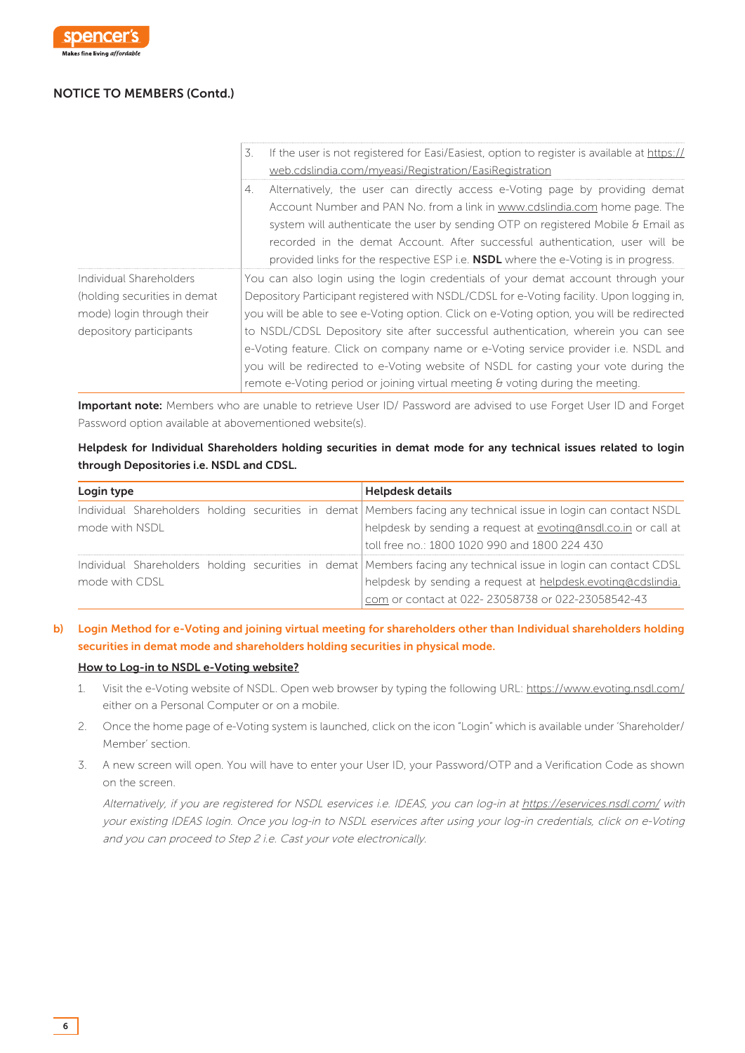

|                              | If the user is not registered for Easi/Easiest, option to register is available at https://<br>3.<br>web.cdslindia.com/myeasi/Registration/EasiRegistration                                                                                                                                                                                                                                                                              |
|------------------------------|------------------------------------------------------------------------------------------------------------------------------------------------------------------------------------------------------------------------------------------------------------------------------------------------------------------------------------------------------------------------------------------------------------------------------------------|
|                              | Alternatively, the user can directly access e-Voting page by providing demat<br>4.<br>Account Number and PAN No. from a link in www.cdslindia.com home page. The<br>system will authenticate the user by sending OTP on registered Mobile $\theta$ Email as<br>recorded in the demat Account. After successful authentication, user will be<br>provided links for the respective ESP i.e. <b>NSDL</b> where the e-Voting is in progress. |
| Individual Shareholders      | You can also login using the login credentials of your demat account through your                                                                                                                                                                                                                                                                                                                                                        |
| (holding securities in demat | Depository Participant registered with NSDL/CDSL for e-Voting facility. Upon logging in,                                                                                                                                                                                                                                                                                                                                                 |
| mode) login through their    | you will be able to see e-Voting option. Click on e-Voting option, you will be redirected                                                                                                                                                                                                                                                                                                                                                |
| depository participants      | to NSDL/CDSL Depository site after successful authentication, wherein you can see                                                                                                                                                                                                                                                                                                                                                        |
|                              | e-Voting feature. Click on company name or e-Voting service provider i.e. NSDL and                                                                                                                                                                                                                                                                                                                                                       |
|                              | you will be redirected to e-Voting website of NSDL for casting your vote during the                                                                                                                                                                                                                                                                                                                                                      |
|                              | remote e-Voting period or joining virtual meeting & voting during the meeting.                                                                                                                                                                                                                                                                                                                                                           |

Important note: Members who are unable to retrieve User ID/ Password are advised to use Forget User ID and Forget Password option available at abovementioned website(s).

## Helpdesk for Individual Shareholders holding securities in demat mode for any technical issues related to login through Depositories i.e. NSDL and CDSL.

| Login type     | <b>Helpdesk details</b>                                                                                          |
|----------------|------------------------------------------------------------------------------------------------------------------|
|                | Individual Shareholders holding securities in demat Members facing any technical issue in login can contact NSDL |
| mode with NSDI | helpdesk by sending a request at evoting@nsdl.co.in or call at                                                   |
|                | toll free no.: 1800 1020 990 and 1800 224 430                                                                    |
|                | Individual Shareholders holding securities in demat Members facing any technical issue in login can contact CDSL |
| mode with CDSL | helpdesk by sending a request at helpdesk.evoting@cdslindia.                                                     |
|                | com or contact at 022-23058738 or 022-23058542-43                                                                |

## b) Login Method for e-Voting and joining virtual meeting for shareholders other than Individual shareholders holding securities in demat mode and shareholders holding securities in physical mode.

#### How to Log-in to NSDL e-Voting website?

- 1. Visit the e-Voting website of NSDL. Open web browser by typing the following URL: https://www.evoting.nsdl.com/ either on a Personal Computer or on a mobile.
- 2. Once the home page of e-Voting system is launched, click on the icon "Login" which is available under 'Shareholder/ Member' section.
- 3. A new screen will open. You will have to enter your User ID, your Password/OTP and a Verification Code as shown on the screen.

Alternatively, if you are registered for NSDL eservices i.e. IDEAS, you can log-in at https://eservices.nsdl.com/ with your existing IDEAS login. Once you log-in to NSDL eservices after using your log-in credentials, click on e-Voting and you can proceed to Step 2 i.e. Cast your vote electronically.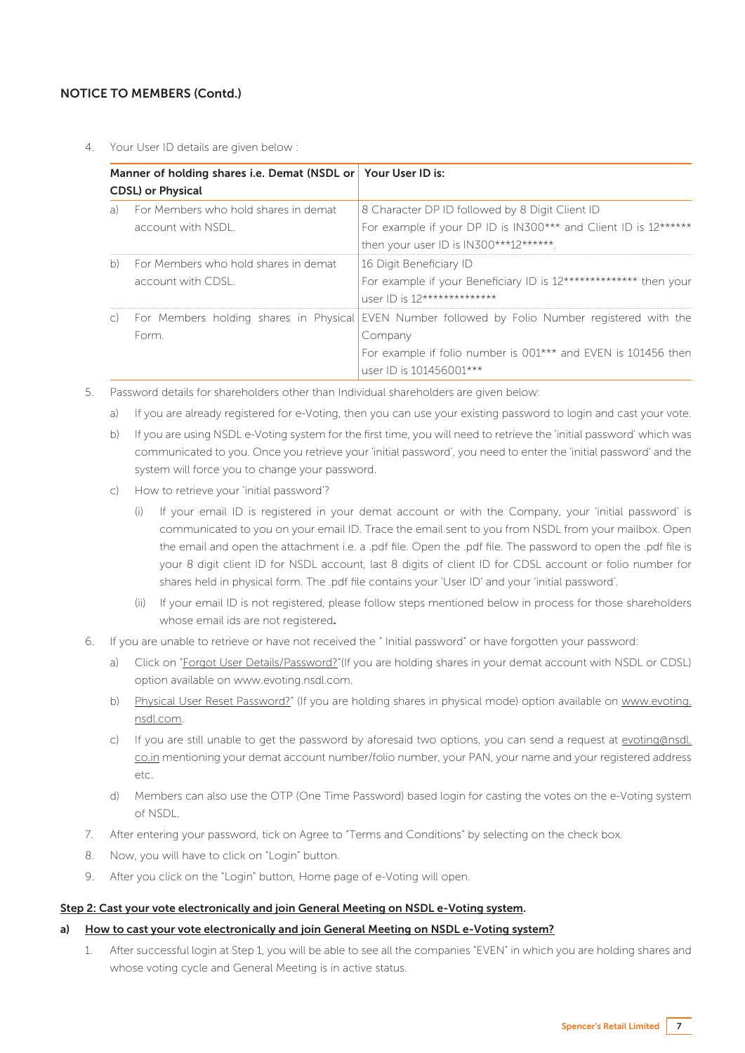4. Your User ID details are given below :

| Manner of holding shares i.e. Demat (NSDL or Your User ID is:<br><b>CDSL</b> ) or Physical |                                        |                                                                  |
|--------------------------------------------------------------------------------------------|----------------------------------------|------------------------------------------------------------------|
|                                                                                            |                                        |                                                                  |
|                                                                                            | account with NSDL.                     | For example if your DP ID is IN300*** and Client ID is 12******  |
|                                                                                            |                                        | then your user ID is IN300***12******.                           |
| b)                                                                                         | For Members who hold shares in demat   | 16 Digit Beneficiary ID                                          |
|                                                                                            | account with CDSL.                     | For example if your Beneficiary ID is 12************** then your |
|                                                                                            |                                        | user ID is 12***************                                     |
| $\mathsf{C}$                                                                               | For Members holding shares in Physical | EVEN Number followed by Folio Number registered with the         |
|                                                                                            | Form.                                  | Company                                                          |
|                                                                                            |                                        | For example if folio number is 001*** and EVEN is 101456 then    |
|                                                                                            |                                        | user ID is 101456001***                                          |

- 5. Password details for shareholders other than Individual shareholders are given below:
	- a) If you are already registered for e-Voting, then you can use your existing password to login and cast your vote.
	- b) If you are using NSDL e-Voting system for the first time, you will need to retrieve the 'initial password' which was communicated to you. Once you retrieve your 'initial password', you need to enter the 'initial password' and the system will force you to change your password.
	- c) How to retrieve your 'initial password'?
		- (i) If your email ID is registered in your demat account or with the Company, your 'initial password' is communicated to you on your email ID. Trace the email sent to you from NSDL from your mailbox. Open the email and open the attachment i.e. a .pdf file. Open the .pdf file. The password to open the .pdf file is your 8 digit client ID for NSDL account, last 8 digits of client ID for CDSL account or folio number for shares held in physical form. The .pdf file contains your 'User ID' and your 'initial password'.
		- (ii) If your email ID is not registered, please follow steps mentioned below in process for those shareholders whose email ids are not registered.
- 6. If you are unable to retrieve or have not received the " Initial password" or have forgotten your password:
	- a) Click on "Forgot User Details/Password?"(If you are holding shares in your demat account with NSDL or CDSL) option available on www.evoting.nsdl.com.
	- b) Physical User Reset Password?" (If you are holding shares in physical mode) option available on www.evoting. nsdl.com.
	- c) If you are still unable to get the password by aforesaid two options, you can send a request at evoting@nsdl. co.in mentioning your demat account number/folio number, your PAN, your name and your registered address etc.
	- d) Members can also use the OTP (One Time Password) based login for casting the votes on the e-Voting system of NSDL.
- 7. After entering your password, tick on Agree to "Terms and Conditions" by selecting on the check box.
- 8. Now, you will have to click on "Login" button.
- 9. After you click on the "Login" button, Home page of e-Voting will open.

#### Step 2: Cast your vote electronically and join General Meeting on NSDL e-Voting system.

#### a) How to cast your vote electronically and join General Meeting on NSDL e-Voting system?

1. After successful login at Step 1, you will be able to see all the companies "EVEN" in which you are holding shares and whose voting cycle and General Meeting is in active status.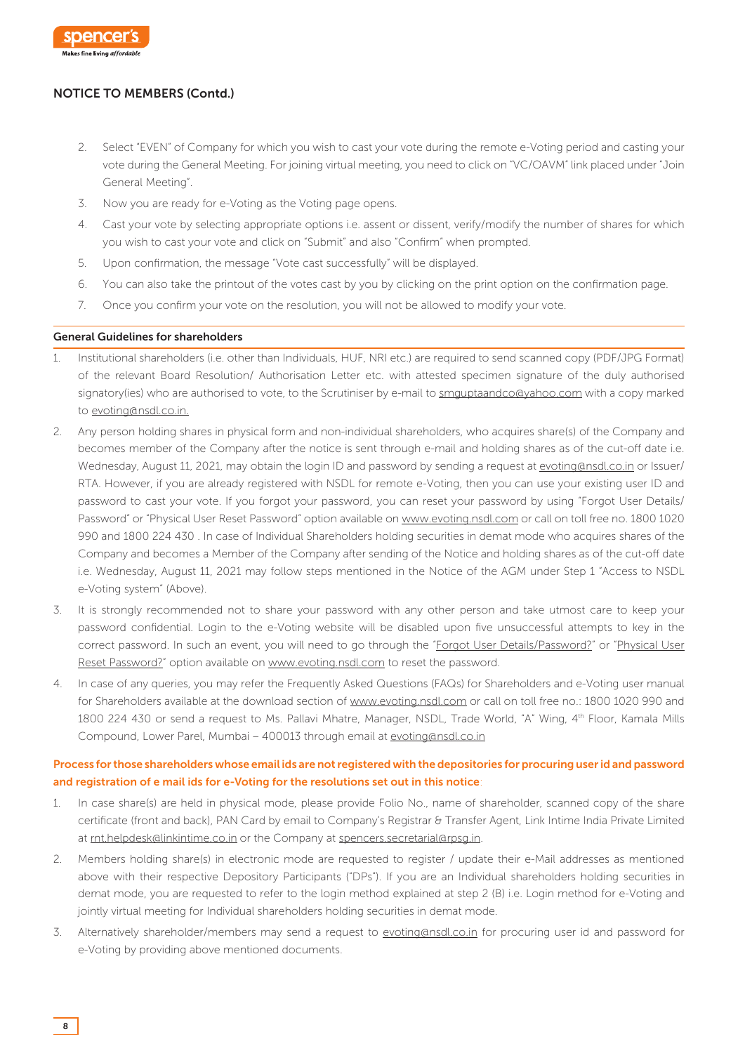

- 2. Select "EVEN" of Company for which you wish to cast your vote during the remote e-Voting period and casting your vote during the General Meeting. For joining virtual meeting, you need to click on "VC/OAVM" link placed under "Join General Meeting".
- 3. Now you are ready for e-Voting as the Voting page opens.
- 4. Cast your vote by selecting appropriate options i.e. assent or dissent, verify/modify the number of shares for which you wish to cast your vote and click on "Submit" and also "Confirm" when prompted.
- 5. Upon confirmation, the message "Vote cast successfully" will be displayed.
- 6. You can also take the printout of the votes cast by you by clicking on the print option on the confirmation page.
- 7. Once you confirm your vote on the resolution, you will not be allowed to modify your vote.

#### General Guidelines for shareholders

- 1. Institutional shareholders (i.e. other than Individuals, HUF, NRI etc.) are required to send scanned copy (PDF/JPG Format) of the relevant Board Resolution/ Authorisation Letter etc. with attested specimen signature of the duly authorised signatory(ies) who are authorised to vote, to the Scrutiniser by e-mail to smguptaandco@yahoo.com with a copy marked to evoting@nsdl.co.in.
- 2. Any person holding shares in physical form and non-individual shareholders, who acquires share(s) of the Company and becomes member of the Company after the notice is sent through e-mail and holding shares as of the cut-off date i.e. Wednesday, August 11, 2021, may obtain the login ID and password by sending a request at evoting@nsdl.co.in or Issuer/ RTA. However, if you are already registered with NSDL for remote e-Voting, then you can use your existing user ID and password to cast your vote. If you forgot your password, you can reset your password by using "Forgot User Details/ Password" or "Physical User Reset Password" option available on www.evoting.nsdl.com or call on toll free no. 1800 1020 990 and 1800 224 430 . In case of Individual Shareholders holding securities in demat mode who acquires shares of the Company and becomes a Member of the Company after sending of the Notice and holding shares as of the cut-off date i.e. Wednesday, August 11, 2021 may follow steps mentioned in the Notice of the AGM under Step 1 "Access to NSDL e-Voting system" (Above).
- 3. It is strongly recommended not to share your password with any other person and take utmost care to keep your password confidential. Login to the e-Voting website will be disabled upon five unsuccessful attempts to key in the correct password. In such an event, you will need to go through the "Forgot User Details/Password?" or "Physical User Reset Password?" option available on www.evoting.nsdl.com to reset the password.
- 4. In case of any queries, you may refer the Frequently Asked Questions (FAQs) for Shareholders and e-Voting user manual for Shareholders available at the download section of www.evoting.nsdl.com or call on toll free no.: 1800 1020 990 and 1800 224 430 or send a request to Ms. Pallavi Mhatre, Manager, NSDL, Trade World, "A" Wing, 4<sup>th</sup> Floor, Kamala Mills Compound, Lower Parel, Mumbai – 400013 through email at evoting@nsdl.co.in

## Process for those shareholders whose email ids are not registered with the depositories for procuring user id and password and registration of e mail ids for e-Voting for the resolutions set out in this notice:

- 1. In case share(s) are held in physical mode, please provide Folio No., name of shareholder, scanned copy of the share certificate (front and back), PAN Card by email to Company's Registrar & Transfer Agent, Link Intime India Private Limited at rnt.helpdesk@linkintime.co.in or the Company at spencers.secretarial@rpsg.in.
- 2. Members holding share(s) in electronic mode are requested to register / update their e-Mail addresses as mentioned above with their respective Depository Participants ("DPs"). If you are an Individual shareholders holding securities in demat mode, you are requested to refer to the login method explained at step 2 (B) i.e. Login method for e-Voting and jointly virtual meeting for Individual shareholders holding securities in demat mode.
- 3. Alternatively shareholder/members may send a request to evoting@nsdl.co.in for procuring user id and password for e-Voting by providing above mentioned documents.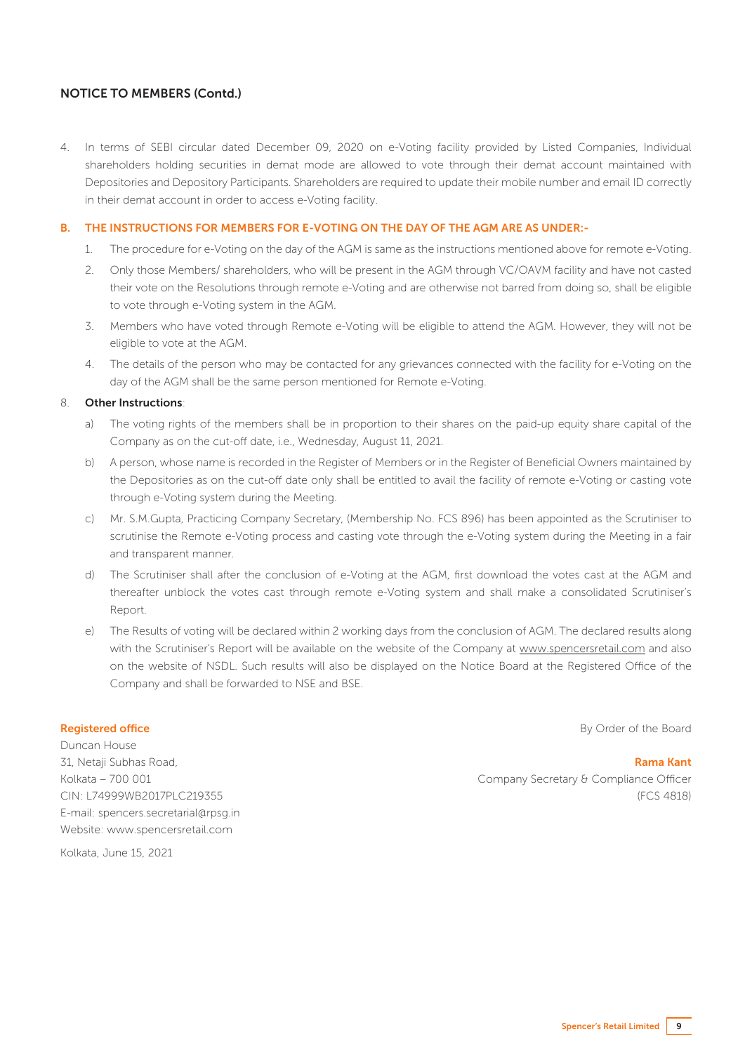4. In terms of SEBI circular dated December 09, 2020 on e-Voting facility provided by Listed Companies, Individual shareholders holding securities in demat mode are allowed to vote through their demat account maintained with Depositories and Depository Participants. Shareholders are required to update their mobile number and email ID correctly in their demat account in order to access e-Voting facility.

#### B. THE INSTRUCTIONS FOR MEMBERS FOR E-VOTING ON THE DAY OF THE AGM ARE AS UNDER:-

- 1. The procedure for e-Voting on the day of the AGM is same as the instructions mentioned above for remote e-Voting.
- 2. Only those Members/ shareholders, who will be present in the AGM through VC/OAVM facility and have not casted their vote on the Resolutions through remote e-Voting and are otherwise not barred from doing so, shall be eligible to vote through e-Voting system in the AGM.
- 3. Members who have voted through Remote e-Voting will be eligible to attend the AGM. However, they will not be eligible to vote at the AGM.
- 4. The details of the person who may be contacted for any grievances connected with the facility for e-Voting on the day of the AGM shall be the same person mentioned for Remote e-Voting.

#### 8. Other Instructions:

- a) The voting rights of the members shall be in proportion to their shares on the paid-up equity share capital of the Company as on the cut-off date, i.e., Wednesday, August 11, 2021.
- b) A person, whose name is recorded in the Register of Members or in the Register of Beneficial Owners maintained by the Depositories as on the cut-off date only shall be entitled to avail the facility of remote e-Voting or casting vote through e-Voting system during the Meeting.
- c) Mr. S.M.Gupta, Practicing Company Secretary, (Membership No. FCS 896) has been appointed as the Scrutiniser to scrutinise the Remote e-Voting process and casting vote through the e-Voting system during the Meeting in a fair and transparent manner.
- d) The Scrutiniser shall after the conclusion of e-Voting at the AGM, first download the votes cast at the AGM and thereafter unblock the votes cast through remote e-Voting system and shall make a consolidated Scrutiniser's Report.
- e) The Results of voting will be declared within 2 working days from the conclusion of AGM. The declared results along with the Scrutiniser's Report will be available on the website of the Company at www.spencersretail.com and also on the website of NSDL. Such results will also be displayed on the Notice Board at the Registered Office of the Company and shall be forwarded to NSE and BSE.

#### Registered office

Duncan House 31, Netaji Subhas Road, Kolkata – 700 001 CIN: L74999WB2017PLC219355 E-mail: spencers.secretarial@rpsg.in Website: www.spencersretail.com

By Order of the Board

 Rama Kant Company Secretary & Compliance Officer (FCS 4818)

Kolkata, June 15, 2021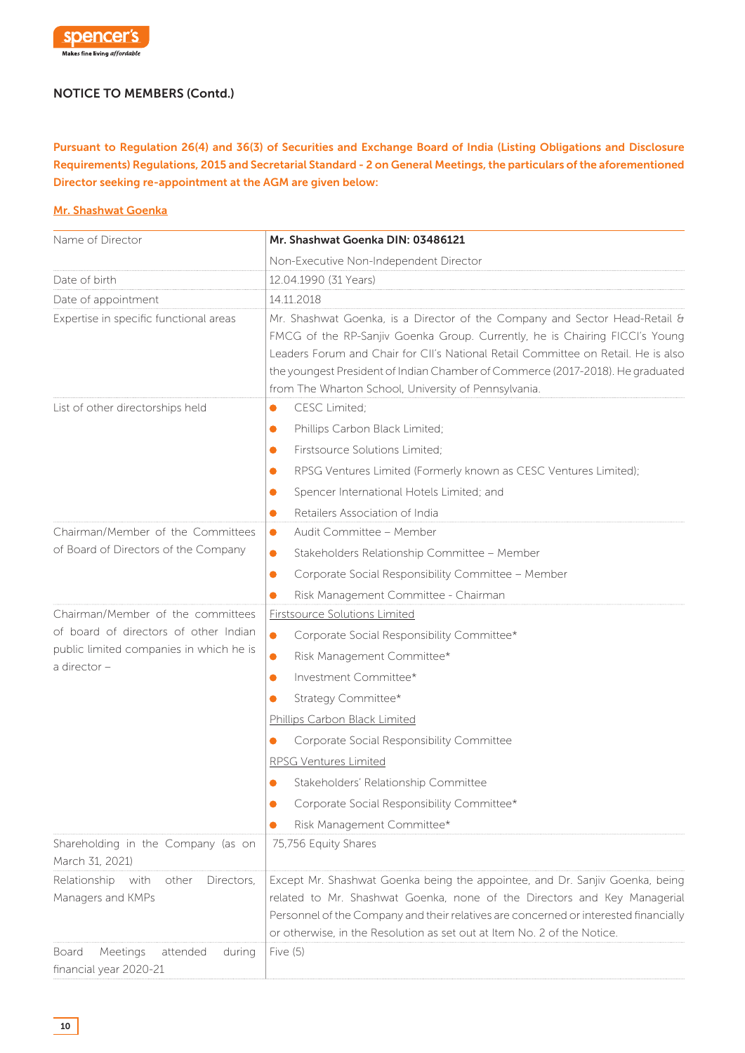

Pursuant to Regulation 26(4) and 36(3) of Securities and Exchange Board of India (Listing Obligations and Disclosure Requirements) Regulations, 2015 and Secretarial Standard - 2 on General Meetings, the particulars of the aforementioned Director seeking re-appointment at the AGM are given below:

#### Mr. Shashwat Goenka

| Name of Director                                      | Mr. Shashwat Goenka DIN: 03486121                                                                                                                                                                                                                                                                                                                                                        |
|-------------------------------------------------------|------------------------------------------------------------------------------------------------------------------------------------------------------------------------------------------------------------------------------------------------------------------------------------------------------------------------------------------------------------------------------------------|
|                                                       | Non-Executive Non-Independent Director                                                                                                                                                                                                                                                                                                                                                   |
| Date of birth                                         | 12.04.1990 (31 Years)                                                                                                                                                                                                                                                                                                                                                                    |
| Date of appointment                                   | 14.11.2018                                                                                                                                                                                                                                                                                                                                                                               |
| Expertise in specific functional areas                | Mr. Shashwat Goenka, is a Director of the Company and Sector Head-Retail &<br>FMCG of the RP-Sanjiv Goenka Group. Currently, he is Chairing FICCI's Young<br>Leaders Forum and Chair for CII's National Retail Committee on Retail. He is also<br>the youngest President of Indian Chamber of Commerce (2017-2018). He graduated<br>from The Wharton School, University of Pennsylvania. |
| List of other directorships held                      | CESC Limited;<br>$\bullet$                                                                                                                                                                                                                                                                                                                                                               |
|                                                       | Phillips Carbon Black Limited;<br>$\bullet$                                                                                                                                                                                                                                                                                                                                              |
|                                                       | Firstsource Solutions Limited;<br>$\bullet$                                                                                                                                                                                                                                                                                                                                              |
|                                                       | RPSG Ventures Limited (Formerly known as CESC Ventures Limited);<br>$\bullet$                                                                                                                                                                                                                                                                                                            |
|                                                       | Spencer International Hotels Limited; and<br>$\bullet$                                                                                                                                                                                                                                                                                                                                   |
|                                                       | Retailers Association of India<br>$\bullet$                                                                                                                                                                                                                                                                                                                                              |
| Chairman/Member of the Committees                     | Audit Committee - Member<br>$\bullet$                                                                                                                                                                                                                                                                                                                                                    |
| of Board of Directors of the Company                  | Stakeholders Relationship Committee - Member<br>$\bullet$                                                                                                                                                                                                                                                                                                                                |
|                                                       | Corporate Social Responsibility Committee - Member<br>$\bullet$                                                                                                                                                                                                                                                                                                                          |
|                                                       | Risk Management Committee - Chairman<br>$\bullet$                                                                                                                                                                                                                                                                                                                                        |
| Chairman/Member of the committees                     | <b>Firstsource Solutions Limited</b>                                                                                                                                                                                                                                                                                                                                                     |
| of board of directors of other Indian                 | $\bullet$<br>Corporate Social Responsibility Committee*                                                                                                                                                                                                                                                                                                                                  |
| public limited companies in which he is               | $\bullet$<br>Risk Management Committee*                                                                                                                                                                                                                                                                                                                                                  |
| a director -                                          | Investment Committee*<br>$\bullet$                                                                                                                                                                                                                                                                                                                                                       |
|                                                       | Strategy Committee*<br>$\bullet$                                                                                                                                                                                                                                                                                                                                                         |
|                                                       | Phillips Carbon Black Limited                                                                                                                                                                                                                                                                                                                                                            |
|                                                       | Corporate Social Responsibility Committee                                                                                                                                                                                                                                                                                                                                                |
|                                                       | RPSG Ventures Limited                                                                                                                                                                                                                                                                                                                                                                    |
|                                                       | Stakeholders' Relationship Committee<br>$\bullet$                                                                                                                                                                                                                                                                                                                                        |
|                                                       | Corporate Social Responsibility Committee*                                                                                                                                                                                                                                                                                                                                               |
|                                                       | Risk Management Committee*                                                                                                                                                                                                                                                                                                                                                               |
| Shareholding in the Company (as on<br>March 31, 2021) | 75,756 Equity Shares                                                                                                                                                                                                                                                                                                                                                                     |
| Relationship with<br>other<br>Directors,              | Except Mr. Shashwat Goenka being the appointee, and Dr. Sanjiv Goenka, being                                                                                                                                                                                                                                                                                                             |
| Managers and KMPs                                     | related to Mr. Shashwat Goenka, none of the Directors and Key Managerial                                                                                                                                                                                                                                                                                                                 |
|                                                       | Personnel of the Company and their relatives are concerned or interested financially                                                                                                                                                                                                                                                                                                     |
| Meetings<br>attended<br><b>Board</b>                  | or otherwise, in the Resolution as set out at Item No. 2 of the Notice.<br>Five $(5)$                                                                                                                                                                                                                                                                                                    |
| during<br>financial year 2020-21                      |                                                                                                                                                                                                                                                                                                                                                                                          |